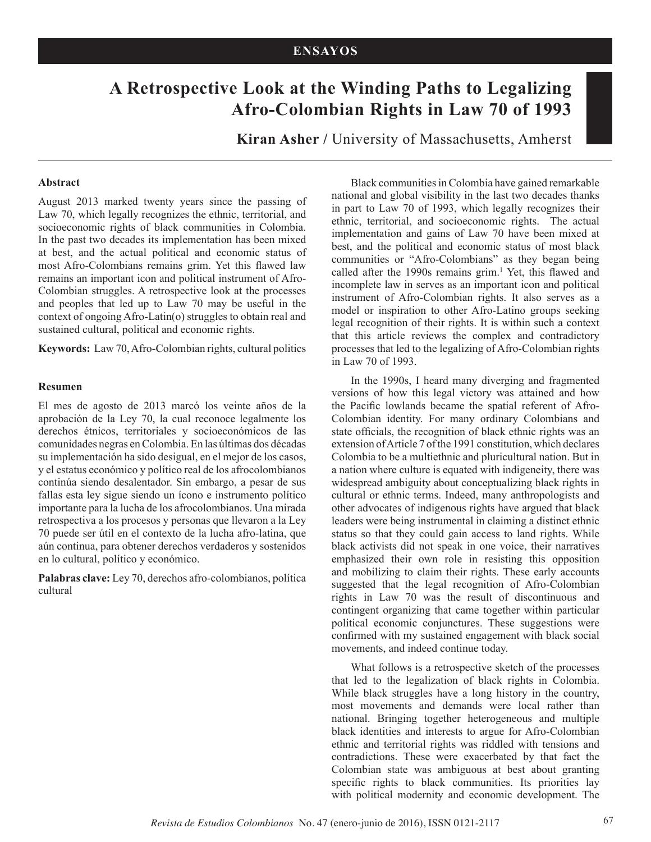# **A Retrospective Look at the Winding Paths to Legalizing Afro-Colombian Rights in Law 70 of 1993**

**Kiran Asher /** University of Massachusetts, Amherst

#### **Abstract**

August 2013 marked twenty years since the passing of Law 70, which legally recognizes the ethnic, territorial, and socioeconomic rights of black communities in Colombia. In the past two decades its implementation has been mixed at best, and the actual political and economic status of most Afro-Colombians remains grim. Yet this flawed law remains an important icon and political instrument of Afro-Colombian struggles. A retrospective look at the processes and peoples that led up to Law 70 may be useful in the context of ongoing Afro-Latin(o) struggles to obtain real and sustained cultural, political and economic rights.

**Keywords:** Law 70, Afro-Colombian rights, cultural politics

#### **Resumen**

El mes de agosto de 2013 marcó los veinte años de la aprobación de la Ley 70, la cual reconoce legalmente los derechos étnicos, territoriales y socioeconómicos de las comunidades negras en Colombia. En las últimas dos décadas su implementación ha sido desigual, en el mejor de los casos, y el estatus económico y político real de los afrocolombianos continúa siendo desalentador. Sin embargo, a pesar de sus fallas esta ley sigue siendo un ícono e instrumento político importante para la lucha de los afrocolombianos. Una mirada retrospectiva a los procesos y personas que llevaron a la Ley 70 puede ser útil en el contexto de la lucha afro-latina, que aún continua, para obtener derechos verdaderos y sostenidos en lo cultural, político y económico.

**Palabras clave:** Ley 70, derechos afro-colombianos, política cultural

Black communities in Colombia have gained remarkable national and global visibility in the last two decades thanks in part to Law 70 of 1993, which legally recognizes their ethnic, territorial, and socioeconomic rights. The actual implementation and gains of Law 70 have been mixed at best, and the political and economic status of most black communities or "Afro-Colombians" as they began being called after the 1990s remains grim.<sup>1</sup> Yet, this flawed and incomplete law in serves as an important icon and political instrument of Afro-Colombian rights. It also serves as a model or inspiration to other Afro-Latino groups seeking legal recognition of their rights. It is within such a context that this article reviews the complex and contradictory processes that led to the legalizing of Afro-Colombian rights in Law 70 of 1993.

In the 1990s, I heard many diverging and fragmented versions of how this legal victory was attained and how the Pacific lowlands became the spatial referent of Afro-Colombian identity. For many ordinary Colombians and state officials, the recognition of black ethnic rights was an extension of Article 7 of the 1991 constitution, which declares Colombia to be a multiethnic and pluricultural nation. But in a nation where culture is equated with indigeneity, there was widespread ambiguity about conceptualizing black rights in cultural or ethnic terms. Indeed, many anthropologists and other advocates of indigenous rights have argued that black leaders were being instrumental in claiming a distinct ethnic status so that they could gain access to land rights. While black activists did not speak in one voice, their narratives emphasized their own role in resisting this opposition and mobilizing to claim their rights. These early accounts suggested that the legal recognition of Afro-Colombian rights in Law 70 was the result of discontinuous and contingent organizing that came together within particular political economic conjunctures. These suggestions were confirmed with my sustained engagement with black social movements, and indeed continue today.

What follows is a retrospective sketch of the processes that led to the legalization of black rights in Colombia. While black struggles have a long history in the country, most movements and demands were local rather than national. Bringing together heterogeneous and multiple black identities and interests to argue for Afro-Colombian ethnic and territorial rights was riddled with tensions and contradictions. These were exacerbated by that fact the Colombian state was ambiguous at best about granting specific rights to black communities. Its priorities lay with political modernity and economic development. The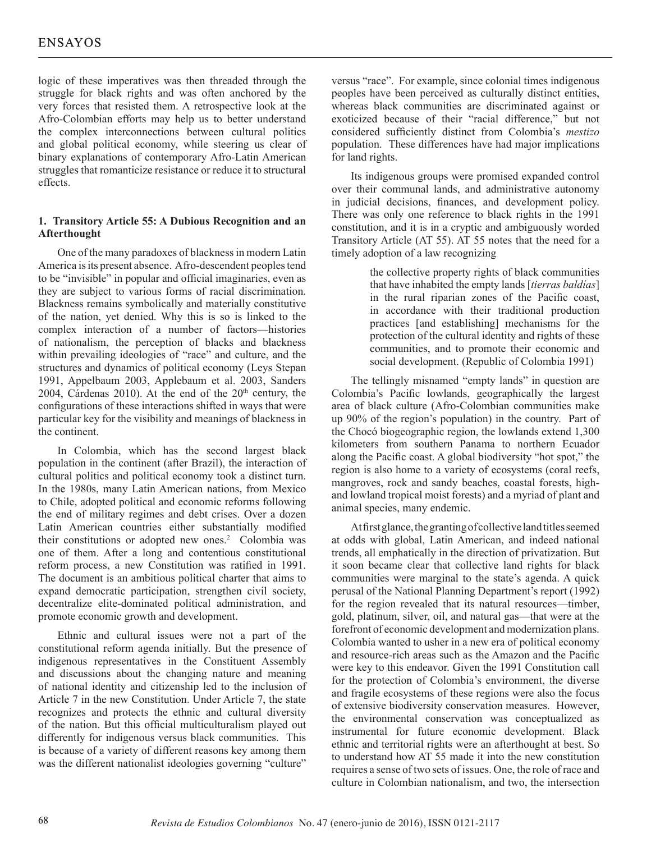logic of these imperatives was then threaded through the struggle for black rights and was often anchored by the very forces that resisted them. A retrospective look at the Afro-Colombian efforts may help us to better understand the complex interconnections between cultural politics and global political economy, while steering us clear of binary explanations of contemporary Afro-Latin American struggles that romanticize resistance or reduce it to structural effects.

## **1. Transitory Article 55: A Dubious Recognition and an Afterthought**

One of the many paradoxes of blackness in modern Latin America is its present absence. Afro-descendent peoples tend to be "invisible" in popular and official imaginaries, even as they are subject to various forms of racial discrimination. Blackness remains symbolically and materially constitutive of the nation, yet denied. Why this is so is linked to the complex interaction of a number of factors—histories of nationalism, the perception of blacks and blackness within prevailing ideologies of "race" and culture, and the structures and dynamics of political economy (Leys Stepan 1991, Appelbaum 2003, Applebaum et al. 2003, Sanders 2004, Cárdenas 2010). At the end of the  $20<sup>th</sup>$  century, the configurations of these interactions shifted in ways that were particular key for the visibility and meanings of blackness in the continent.

In Colombia, which has the second largest black population in the continent (after Brazil), the interaction of cultural politics and political economy took a distinct turn. In the 1980s, many Latin American nations, from Mexico to Chile, adopted political and economic reforms following the end of military regimes and debt crises. Over a dozen Latin American countries either substantially modified their constitutions or adopted new ones.<sup>2</sup> Colombia was one of them. After a long and contentious constitutional reform process, a new Constitution was ratified in 1991. The document is an ambitious political charter that aims to expand democratic participation, strengthen civil society, decentralize elite-dominated political administration, and promote economic growth and development.

Ethnic and cultural issues were not a part of the constitutional reform agenda initially. But the presence of indigenous representatives in the Constituent Assembly and discussions about the changing nature and meaning of national identity and citizenship led to the inclusion of Article 7 in the new Constitution. Under Article 7, the state recognizes and protects the ethnic and cultural diversity of the nation. But this official multiculturalism played out differently for indigenous versus black communities. This is because of a variety of different reasons key among them was the different nationalist ideologies governing "culture"

versus "race". For example, since colonial times indigenous peoples have been perceived as culturally distinct entities, whereas black communities are discriminated against or exoticized because of their "racial difference," but not considered sufficiently distinct from Colombia's *mestizo* population. These differences have had major implications for land rights.

Its indigenous groups were promised expanded control over their communal lands, and administrative autonomy in judicial decisions, finances, and development policy. There was only one reference to black rights in the 1991 constitution, and it is in a cryptic and ambiguously worded Transitory Article (AT 55). AT 55 notes that the need for a timely adoption of a law recognizing

> the collective property rights of black communities that have inhabited the empty lands [*tierras baldías*] in the rural riparian zones of the Pacific coast, in accordance with their traditional production practices [and establishing] mechanisms for the protection of the cultural identity and rights of these communities, and to promote their economic and social development. (Republic of Colombia 1991)

The tellingly misnamed "empty lands" in question are Colombia's Pacific lowlands, geographically the largest area of black culture (Afro-Colombian communities make up 90% of the region's population) in the country. Part of the Chocó biogeographic region, the lowlands extend 1,300 kilometers from southern Panama to northern Ecuador along the Pacific coast. A global biodiversity "hot spot," the region is also home to a variety of ecosystems (coral reefs, mangroves, rock and sandy beaches, coastal forests, highand lowland tropical moist forests) and a myriad of plant and animal species, many endemic.

At first glance, the granting of collective land titles seemed at odds with global, Latin American, and indeed national trends, all emphatically in the direction of privatization. But it soon became clear that collective land rights for black communities were marginal to the state's agenda. A quick perusal of the National Planning Department's report (1992) for the region revealed that its natural resources—timber, gold, platinum, silver, oil, and natural gas—that were at the forefront of economic development and modernization plans. Colombia wanted to usher in a new era of political economy and resource-rich areas such as the Amazon and the Pacific were key to this endeavor. Given the 1991 Constitution call for the protection of Colombia's environment, the diverse and fragile ecosystems of these regions were also the focus of extensive biodiversity conservation measures. However, the environmental conservation was conceptualized as instrumental for future economic development. Black ethnic and territorial rights were an afterthought at best. So to understand how AT 55 made it into the new constitution requires a sense of two sets of issues. One, the role of race and culture in Colombian nationalism, and two, the intersection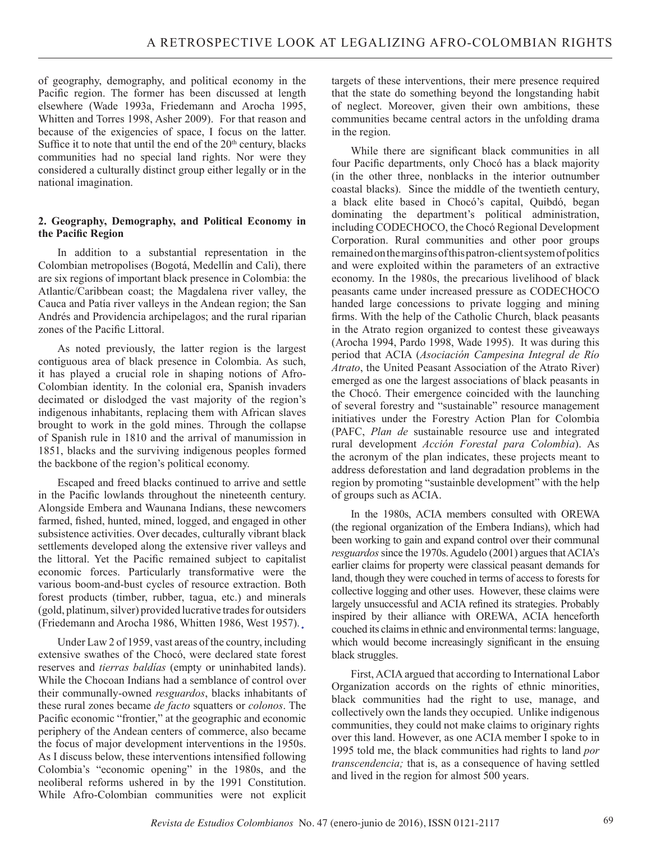of geography, demography, and political economy in the Pacific region. The former has been discussed at length elsewhere (Wade 1993a, Friedemann and Arocha 1995, Whitten and Torres 1998, Asher 2009). For that reason and because of the exigencies of space, I focus on the latter. Suffice it to note that until the end of the 20<sup>th</sup> century, blacks communities had no special land rights. Nor were they considered a culturally distinct group either legally or in the national imagination.

## **2. Geography, Demography, and Political Economy in the Pacific Region**

In addition to a substantial representation in the Colombian metropolises (Bogotá, Medellín and Cali), there are six regions of important black presence in Colombia: the Atlantic/Caribbean coast; the Magdalena river valley, the Cauca and Patía river valleys in the Andean region; the San Andrés and Providencia archipelagos; and the rural riparian zones of the Pacific Littoral.

As noted previously, the latter region is the largest contiguous area of black presence in Colombia. As such, it has played a crucial role in shaping notions of Afro-Colombian identity. In the colonial era, Spanish invaders decimated or dislodged the vast majority of the region's indigenous inhabitants, replacing them with African slaves brought to work in the gold mines. Through the collapse of Spanish rule in 1810 and the arrival of manumission in 1851, blacks and the surviving indigenous peoples formed the backbone of the region's political economy.

Escaped and freed blacks continued to arrive and settle in the Pacific lowlands throughout the nineteenth century. Alongside Embera and Waunana Indians, these newcomers farmed, fished, hunted, mined, logged, and engaged in other subsistence activities. Over decades, culturally vibrant black settlements developed along the extensive river valleys and the littoral. Yet the Pacific remained subject to capitalist economic forces. Particularly transformative were the various boom-and-bust cycles of resource extraction. Both forest products (timber, rubber, tagua, etc.) and minerals (gold, platinum, silver) provided lucrative trades for outsiders (Friedemann and Arocha 1986, Whitten 1986, West 1957).

Under Law 2 of 1959, vast areas of the country, including extensive swathes of the Chocó, were declared state forest reserves and *tierras baldías* (empty or uninhabited lands). While the Chocoan Indians had a semblance of control over their communally-owned *resguardos*, blacks inhabitants of these rural zones became *de facto* squatters or *colonos*. The Pacific economic "frontier," at the geographic and economic periphery of the Andean centers of commerce, also became the focus of major development interventions in the 1950s. As I discuss below, these interventions intensified following Colombia's "economic opening" in the 1980s, and the neoliberal reforms ushered in by the 1991 Constitution. While Afro-Colombian communities were not explicit targets of these interventions, their mere presence required that the state do something beyond the longstanding habit of neglect. Moreover, given their own ambitions, these communities became central actors in the unfolding drama in the region.

While there are significant black communities in all four Pacific departments, only Chocó has a black majority (in the other three, nonblacks in the interior outnumber coastal blacks). Since the middle of the twentieth century, a black elite based in Chocó's capital, Quibdó, began dominating the department's political administration, including CODECHOCO, the Chocó Regional Development Corporation. Rural communities and other poor groups remained on the margins of this patron-client system of politics and were exploited within the parameters of an extractive economy. In the 1980s, the precarious livelihood of black peasants came under increased pressure as CODECHOCO handed large concessions to private logging and mining firms. With the help of the Catholic Church, black peasants in the Atrato region organized to contest these giveaways (Arocha 1994, Pardo 1998, Wade 1995). It was during this period that ACIA (*Asociación Campesina Integral de Río Atrato*, the United Peasant Association of the Atrato River) emerged as one the largest associations of black peasants in the Chocó. Their emergence coincided with the launching of several forestry and "sustainable" resource management initiatives under the Forestry Action Plan for Colombia (PAFC, *Plan de* sustainable resource use and integrated rural development *Acción Forestal para Colombia*). As the acronym of the plan indicates, these projects meant to address deforestation and land degradation problems in the region by promoting "sustainble development" with the help of groups such as ACIA.

In the 1980s, ACIA members consulted with OREWA (the regional organization of the Embera Indians), which had been working to gain and expand control over their communal *resguardos* since the 1970s. Agudelo (2001) argues that ACIA's earlier claims for property were classical peasant demands for land, though they were couched in terms of access to forests for collective logging and other uses. However, these claims were largely unsuccessful and ACIA refined its strategies. Probably inspired by their alliance with OREWA, ACIA henceforth couched its claims in ethnic and environmental terms: language, which would become increasingly significant in the ensuing black struggles.

First, ACIA argued that according to International Labor Organization accords on the rights of ethnic minorities, black communities had the right to use, manage, and collectively own the lands they occupied. Unlike indigenous communities, they could not make claims to originary rights over this land. However, as one ACIA member I spoke to in 1995 told me, the black communities had rights to land *por transcendencia;* that is, as a consequence of having settled and lived in the region for almost 500 years.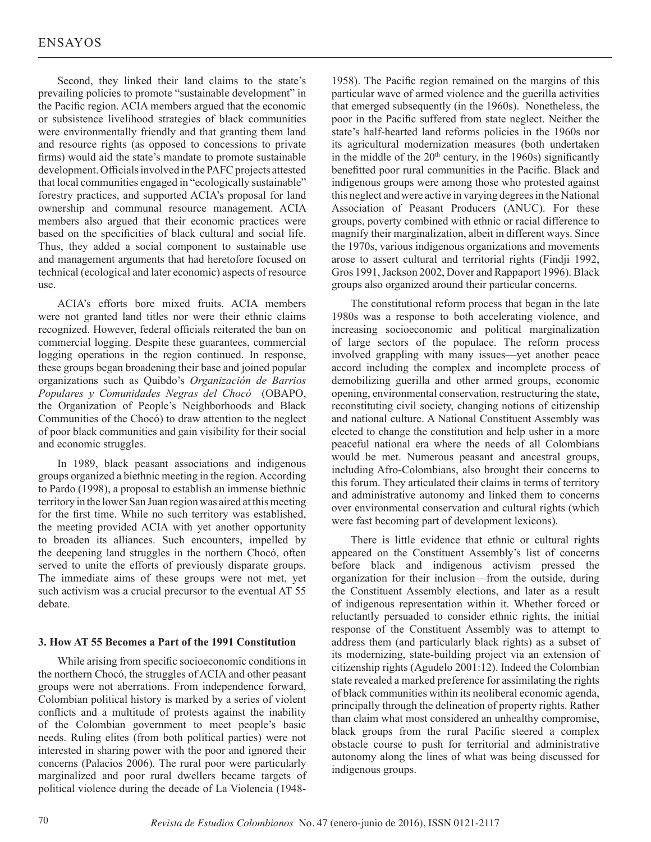Second, they linked their land claims to the state's prevailing policies to promote "sustainable development" in the Pacific region. ACIA members argued that the economic or subsistence livelihood strategies of black communities were environmentally friendly and that granting them land and resource rights (as opposed to concessions to private firms) would aid the state's mandate to promote sustainable development. Officials involved in the PAFC projects attested that local communities engaged in "ecologically sustainable" forestry practices, and supported ACIA's proposal for land ownership and communal resource management. ACIA members also argued that their economic practices were based on the specificities of black cultural and social life. Thus, they added a social component to sustainable use and management arguments that had heretofore focused on technical (ecological and later economic) aspects of resource use.

ACIA's efforts bore mixed fruits. ACIA members were not granted land titles nor were their ethnic claims recognized. However, federal officials reiterated the ban on commercial logging. Despite these guarantees, commercial logging operations in the region continued. In response, these groups began broadening their base and joined popular organizations such as Quibdo's *Organización de Barrios Populares y Comunidades Negras del Chocó* (OBAPO, the Organization of People's Neighborhoods and Black Communities of the Chocó) to draw attention to the neglect of poor black communities and gain visibility for their social and economic struggles.

In 1989, black peasant associations and indigenous groups organized a biethnic meeting in the region. According to Pardo (1998), a proposal to establish an immense biethnic territory in the lower San Juan region was aired at this meeting for the first time. While no such territory was established, the meeting provided ACIA with yet another opportunity to broaden its alliances. Such encounters, impelled by the deepening land struggles in the northern Chocó, often served to unite the efforts of previously disparate groups. The immediate aims of these groups were not met, yet such activism was a crucial precursor to the eventual AT 55 debate.

## **3. How AT 55 Becomes a Part of the 1991 Constitution**

While arising from specific socioeconomic conditions in the northern Chocó, the struggles of ACIA and other peasant groups were not aberrations. From independence forward, Colombian political history is marked by a series of violent conflicts and a multitude of protests against the inability of the Colombian government to meet people's basic needs. Ruling elites (from both political parties) were not interested in sharing power with the poor and ignored their concerns (Palacios 2006). The rural poor were particularly marginalized and poor rural dwellers became targets of political violence during the decade of La Violencia (1948-

1958). The Pacific region remained on the margins of this particular wave of armed violence and the guerilla activities that emerged subsequently (in the 1960s). Nonetheless, the poor in the Pacific suffered from state neglect. Neither the state's half-hearted land reforms policies in the 1960s nor its agricultural modernization measures (both undertaken in the middle of the  $20<sup>th</sup>$  century, in the 1960s) significantly benefitted poor rural communities in the Pacific. Black and indigenous groups were among those who protested against this neglect and were active in varying degrees in the National Association of Peasant Producers (ANUC). For these groups, poverty combined with ethnic or racial difference to magnify their marginalization, albeit in different ways. Since the 1970s, various indigenous organizations and movements arose to assert cultural and territorial rights (Findji 1992, Gros 1991, Jackson 2002, Dover and Rappaport 1996). Black groups also organized around their particular concerns.

The constitutional reform process that began in the late 1980s was a response to both accelerating violence, and increasing socioeconomic and political marginalization of large sectors of the populace. The reform process involved grappling with many issues—yet another peace accord including the complex and incomplete process of demobilizing guerilla and other armed groups, economic opening, environmental conservation, restructuring the state, reconstituting civil society, changing notions of citizenship and national culture. A National Constituent Assembly was elected to change the constitution and help usher in a more peaceful national era where the needs of all Colombians would be met. Numerous peasant and ancestral groups, including Afro-Colombians, also brought their concerns to this forum. They articulated their claims in terms of territory and administrative autonomy and linked them to concerns over environmental conservation and cultural rights (which were fast becoming part of development lexicons).

There is little evidence that ethnic or cultural rights appeared on the Constituent Assembly's list of concerns before black and indigenous activism pressed the organization for their inclusion—from the outside, during the Constituent Assembly elections, and later as a result of indigenous representation within it. Whether forced or reluctantly persuaded to consider ethnic rights, the initial response of the Constituent Assembly was to attempt to address them (and particularly black rights) as a subset of its modernizing, state-building project via an extension of citizenship rights (Agudelo 2001:12). Indeed the Colombian state revealed a marked preference for assimilating the rights of black communities within its neoliberal economic agenda, principally through the delineation of property rights. Rather than claim what most considered an unhealthy compromise, black groups from the rural Pacific steered a complex obstacle course to push for territorial and administrative autonomy along the lines of what was being discussed for indigenous groups.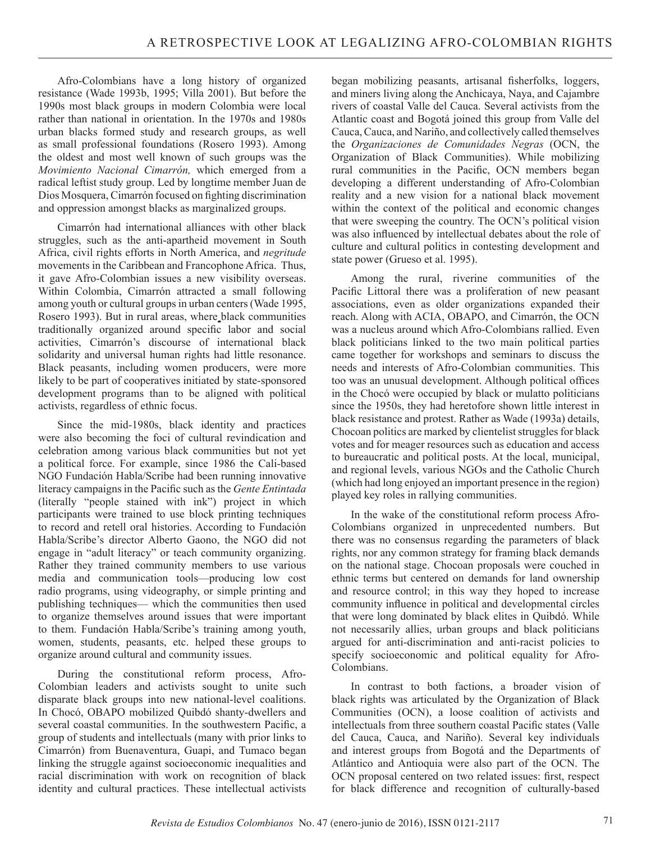Afro-Colombians have a long history of organized resistance (Wade 1993b, 1995; Villa 2001). But before the 1990s most black groups in modern Colombia were local rather than national in orientation. In the 1970s and 1980s urban blacks formed study and research groups, as well as small professional foundations (Rosero 1993). Among the oldest and most well known of such groups was the *Movimiento Nacional Cimarrón,* which emerged from a radical leftist study group. Led by longtime member Juan de Dios Mosquera, Cimarrón focused on fighting discrimination and oppression amongst blacks as marginalized groups.

Cimarrón had international alliances with other black struggles, such as the anti-apartheid movement in South Africa, civil rights efforts in North America, and *negritude* movements in the Caribbean and Francophone Africa. Thus, it gave Afro-Colombian issues a new visibility overseas. Within Colombia, Cimarrón attracted a small following among youth or cultural groups in urban centers (Wade 1995, Rosero 1993). But in rural areas, where black communities traditionally organized around specific labor and social activities, Cimarrón's discourse of international black solidarity and universal human rights had little resonance. Black peasants, including women producers, were more likely to be part of cooperatives initiated by state-sponsored development programs than to be aligned with political activists, regardless of ethnic focus.

Since the mid-1980s, black identity and practices were also becoming the foci of cultural revindication and celebration among various black communities but not yet a political force. For example, since 1986 the Cali-based NGO Fundación Habla/Scribe had been running innovative literacy campaigns in the Pacific such as the *Gente Entintada* (literally "people stained with ink") project in which participants were trained to use block printing techniques to record and retell oral histories. According to Fundación Habla/Scribe's director Alberto Gaono, the NGO did not engage in "adult literacy" or teach community organizing. Rather they trained community members to use various media and communication tools—producing low cost radio programs, using videography, or simple printing and publishing techniques— which the communities then used to organize themselves around issues that were important to them. Fundación Habla/Scribe's training among youth, women, students, peasants, etc. helped these groups to organize around cultural and community issues.

During the constitutional reform process, Afro-Colombian leaders and activists sought to unite such disparate black groups into new national-level coalitions. In Chocó, OBAPO mobilized Quibdó shanty-dwellers and several coastal communities. In the southwestern Pacific, a group of students and intellectuals (many with prior links to Cimarrón) from Buenaventura, Guapi, and Tumaco began linking the struggle against socioeconomic inequalities and racial discrimination with work on recognition of black identity and cultural practices. These intellectual activists began mobilizing peasants, artisanal fisherfolks, loggers, and miners living along the Anchicaya, Naya, and Cajambre rivers of coastal Valle del Cauca. Several activists from the Atlantic coast and Bogotá joined this group from Valle del Cauca, Cauca, and Nariño, and collectively called themselves the *Organizaciones de Comunidades Negras* (OCN, the Organization of Black Communities). While mobilizing rural communities in the Pacific, OCN members began developing a different understanding of Afro-Colombian reality and a new vision for a national black movement within the context of the political and economic changes that were sweeping the country. The OCN's political vision was also influenced by intellectual debates about the role of culture and cultural politics in contesting development and state power (Grueso et al. 1995).

Among the rural, riverine communities of the Pacific Littoral there was a proliferation of new peasant associations, even as older organizations expanded their reach. Along with ACIA, OBAPO, and Cimarrón, the OCN was a nucleus around which Afro-Colombians rallied. Even black politicians linked to the two main political parties came together for workshops and seminars to discuss the needs and interests of Afro-Colombian communities. This too was an unusual development. Although political offices in the Chocó were occupied by black or mulatto politicians since the 1950s, they had heretofore shown little interest in black resistance and protest. Rather as Wade (1993a) details, Chocoan politics are marked by clientelist struggles for black votes and for meager resources such as education and access to bureaucratic and political posts. At the local, municipal, and regional levels, various NGOs and the Catholic Church (which had long enjoyed an important presence in the region) played key roles in rallying communities.

In the wake of the constitutional reform process Afro-Colombians organized in unprecedented numbers. But there was no consensus regarding the parameters of black rights, nor any common strategy for framing black demands on the national stage. Chocoan proposals were couched in ethnic terms but centered on demands for land ownership and resource control; in this way they hoped to increase community influence in political and developmental circles that were long dominated by black elites in Quibdó. While not necessarily allies, urban groups and black politicians argued for anti-discrimination and anti-racist policies to specify socioeconomic and political equality for Afro-Colombians.

In contrast to both factions, a broader vision of black rights was articulated by the Organization of Black Communities (OCN), a loose coalition of activists and intellectuals from three southern coastal Pacific states (Valle del Cauca, Cauca, and Nariño). Several key individuals and interest groups from Bogotá and the Departments of Atlántico and Antioquia were also part of the OCN. The OCN proposal centered on two related issues: first, respect for black difference and recognition of culturally-based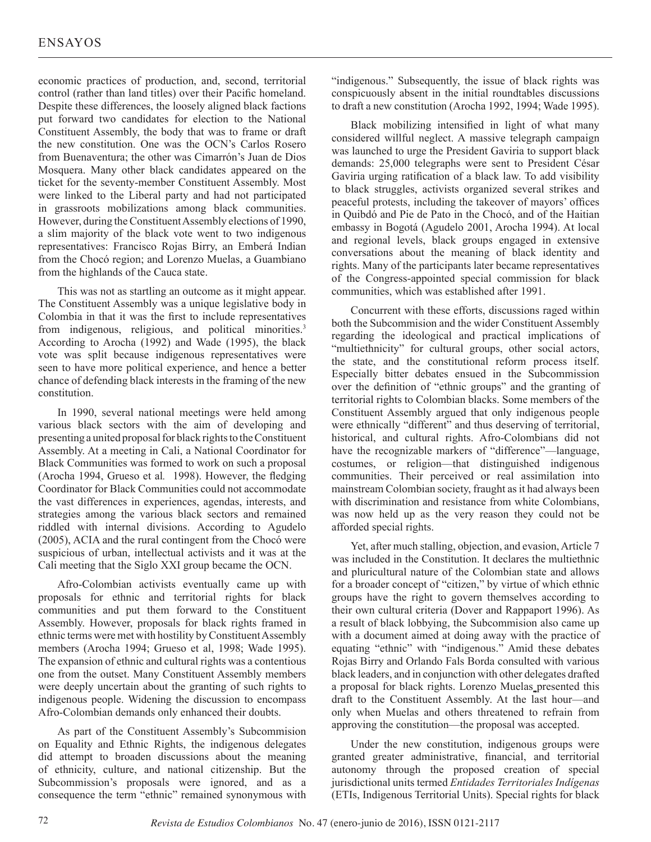economic practices of production, and, second, territorial control (rather than land titles) over their Pacific homeland. Despite these differences, the loosely aligned black factions put forward two candidates for election to the National Constituent Assembly, the body that was to frame or draft the new constitution. One was the OCN's Carlos Rosero from Buenaventura; the other was Cimarrón's Juan de Dios Mosquera. Many other black candidates appeared on the ticket for the seventy-member Constituent Assembly. Most were linked to the Liberal party and had not participated in grassroots mobilizations among black communities. However, during the Constituent Assembly elections of 1990, a slim majority of the black vote went to two indigenous representatives: Francisco Rojas Birry, an Emberá Indian from the Chocó region; and Lorenzo Muelas, a Guambiano from the highlands of the Cauca state.

This was not as startling an outcome as it might appear. The Constituent Assembly was a unique legislative body in Colombia in that it was the first to include representatives from indigenous, religious, and political minorities.<sup>3</sup> According to Arocha (1992) and Wade (1995), the black vote was split because indigenous representatives were seen to have more political experience, and hence a better chance of defending black interests in the framing of the new constitution.

In 1990, several national meetings were held among various black sectors with the aim of developing and presenting a united proposal for black rights to the Constituent Assembly. At a meeting in Cali, a National Coordinator for Black Communities was formed to work on such a proposal (Arocha 1994, Grueso et al*.* 1998). However, the fledging Coordinator for Black Communities could not accommodate the vast differences in experiences, agendas, interests, and strategies among the various black sectors and remained riddled with internal divisions. According to Agudelo (2005), ACIA and the rural contingent from the Chocó were suspicious of urban, intellectual activists and it was at the Cali meeting that the Siglo XXI group became the OCN.

Afro-Colombian activists eventually came up with proposals for ethnic and territorial rights for black communities and put them forward to the Constituent Assembly. However, proposals for black rights framed in ethnic terms were met with hostility by Constituent Assembly members (Arocha 1994; Grueso et al, 1998; Wade 1995). The expansion of ethnic and cultural rights was a contentious one from the outset. Many Constituent Assembly members were deeply uncertain about the granting of such rights to indigenous people. Widening the discussion to encompass Afro-Colombian demands only enhanced their doubts.

As part of the Constituent Assembly's Subcommision on Equality and Ethnic Rights, the indigenous delegates did attempt to broaden discussions about the meaning of ethnicity, culture, and national citizenship. But the Subcommission's proposals were ignored, and as a consequence the term "ethnic" remained synonymous with "indigenous." Subsequently, the issue of black rights was conspicuously absent in the initial roundtables discussions to draft a new constitution (Arocha 1992, 1994; Wade 1995).

Black mobilizing intensified in light of what many considered willful neglect. A massive telegraph campaign was launched to urge the President Gaviria to support black demands: 25,000 telegraphs were sent to President César Gaviria urging ratification of a black law. To add visibility to black struggles, activists organized several strikes and peaceful protests, including the takeover of mayors' offices in Quibdó and Pie de Pato in the Chocó, and of the Haitian embassy in Bogotá (Agudelo 2001, Arocha 1994). At local and regional levels, black groups engaged in extensive conversations about the meaning of black identity and rights. Many of the participants later became representatives of the Congress-appointed special commission for black communities, which was established after 1991.

Concurrent with these efforts, discussions raged within both the Subcommision and the wider Constituent Assembly regarding the ideological and practical implications of "multiethnicity" for cultural groups, other social actors, the state, and the constitutional reform process itself. Especially bitter debates ensued in the Subcommission over the definition of "ethnic groups" and the granting of territorial rights to Colombian blacks. Some members of the Constituent Assembly argued that only indigenous people were ethnically "different" and thus deserving of territorial, historical, and cultural rights. Afro-Colombians did not have the recognizable markers of "difference"—language, costumes, or religion—that distinguished indigenous communities. Their perceived or real assimilation into mainstream Colombian society, fraught as it had always been with discrimination and resistance from white Colombians, was now held up as the very reason they could not be afforded special rights.

Yet, after much stalling, objection, and evasion, Article 7 was included in the Constitution. It declares the multiethnic and pluricultural nature of the Colombian state and allows for a broader concept of "citizen," by virtue of which ethnic groups have the right to govern themselves according to their own cultural criteria (Dover and Rappaport 1996). As a result of black lobbying, the Subcommision also came up with a document aimed at doing away with the practice of equating "ethnic" with "indigenous." Amid these debates Rojas Birry and Orlando Fals Borda consulted with various black leaders, and in conjunction with other delegates drafted a proposal for black rights. Lorenzo Muelas presented this draft to the Constituent Assembly. At the last hour—and only when Muelas and others threatened to refrain from approving the constitution—the proposal was accepted.

Under the new constitution, indigenous groups were granted greater administrative, financial, and territorial autonomy through the proposed creation of special jurisdictional units termed *Entidades Territoriales Indígenas* (ETIs, Indigenous Territorial Units). Special rights for black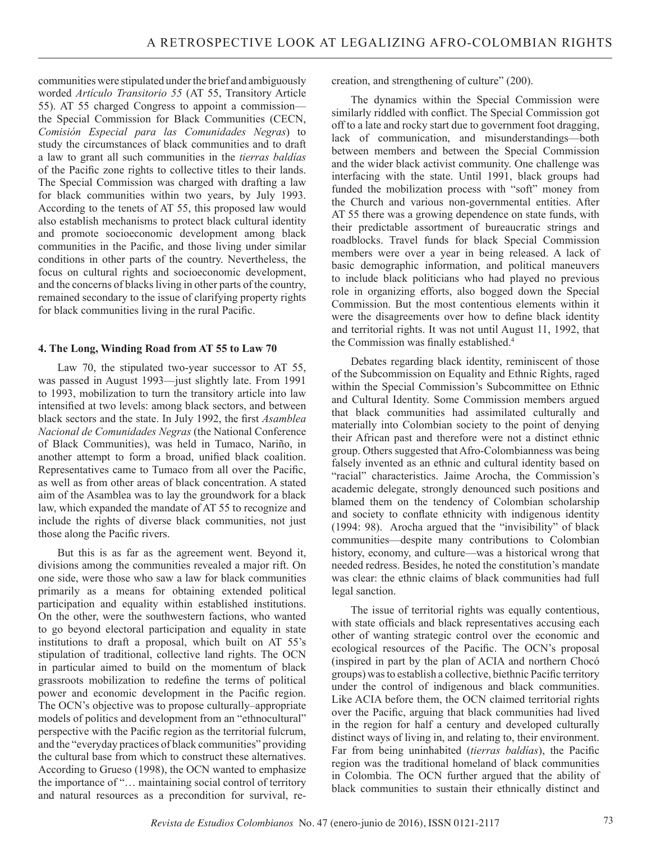communities were stipulated under the brief and ambiguously worded *Artículo Transitorio 55* (AT 55, Transitory Article 55). AT 55 charged Congress to appoint a commission the Special Commission for Black Communities (CECN, *Comisión Especial para las Comunidades Negras*) to study the circumstances of black communities and to draft a law to grant all such communities in the *tierras baldías* of the Pacific zone rights to collective titles to their lands. The Special Commission was charged with drafting a law for black communities within two years, by July 1993. According to the tenets of AT 55, this proposed law would also establish mechanisms to protect black cultural identity and promote socioeconomic development among black communities in the Pacific, and those living under similar conditions in other parts of the country. Nevertheless, the focus on cultural rights and socioeconomic development, and the concerns of blacks living in other parts of the country, remained secondary to the issue of clarifying property rights for black communities living in the rural Pacific.

## **4. The Long, Winding Road from AT 55 to Law 70**

Law 70, the stipulated two-year successor to AT 55, was passed in August 1993—just slightly late. From 1991 to 1993, mobilization to turn the transitory article into law intensified at two levels: among black sectors, and between black sectors and the state. In July 1992, the first *Asamblea Nacional de Comunidades Negras* (the National Conference of Black Communities), was held in Tumaco, Nariño, in another attempt to form a broad, unified black coalition. Representatives came to Tumaco from all over the Pacific, as well as from other areas of black concentration. A stated aim of the Asamblea was to lay the groundwork for a black law, which expanded the mandate of AT 55 to recognize and include the rights of diverse black communities, not just those along the Pacific rivers.

But this is as far as the agreement went. Beyond it, divisions among the communities revealed a major rift. On one side, were those who saw a law for black communities primarily as a means for obtaining extended political participation and equality within established institutions. On the other, were the southwestern factions, who wanted to go beyond electoral participation and equality in state institutions to draft a proposal, which built on AT 55's stipulation of traditional, collective land rights. The OCN in particular aimed to build on the momentum of black grassroots mobilization to redefine the terms of political power and economic development in the Pacific region. The OCN's objective was to propose culturally–appropriate models of politics and development from an "ethnocultural" perspective with the Pacific region as the territorial fulcrum, and the "everyday practices of black communities" providing the cultural base from which to construct these alternatives. According to Grueso (1998), the OCN wanted to emphasize the importance of "… maintaining social control of territory and natural resources as a precondition for survival, recreation, and strengthening of culture" (200).

The dynamics within the Special Commission were similarly riddled with conflict. The Special Commission got off to a late and rocky start due to government foot dragging, lack of communication, and misunderstandings—both between members and between the Special Commission and the wider black activist community. One challenge was interfacing with the state. Until 1991, black groups had funded the mobilization process with "soft" money from the Church and various non-governmental entities. After AT 55 there was a growing dependence on state funds, with their predictable assortment of bureaucratic strings and roadblocks. Travel funds for black Special Commission members were over a year in being released. A lack of basic demographic information, and political maneuvers to include black politicians who had played no previous role in organizing efforts, also bogged down the Special Commission. But the most contentious elements within it were the disagreements over how to define black identity and territorial rights. It was not until August 11, 1992, that the Commission was finally established.<sup>4</sup>

Debates regarding black identity, reminiscent of those of the Subcommission on Equality and Ethnic Rights, raged within the Special Commission's Subcommittee on Ethnic and Cultural Identity. Some Commission members argued that black communities had assimilated culturally and materially into Colombian society to the point of denying their African past and therefore were not a distinct ethnic group. Others suggested that Afro-Colombianness was being falsely invented as an ethnic and cultural identity based on "racial" characteristics. Jaime Arocha, the Commission's academic delegate, strongly denounced such positions and blamed them on the tendency of Colombian scholarship and society to conflate ethnicity with indigenous identity (1994: 98). Arocha argued that the "invisibility" of black communities—despite many contributions to Colombian history, economy, and culture—was a historical wrong that needed redress. Besides, he noted the constitution's mandate was clear: the ethnic claims of black communities had full legal sanction.

The issue of territorial rights was equally contentious, with state officials and black representatives accusing each other of wanting strategic control over the economic and ecological resources of the Pacific. The OCN's proposal (inspired in part by the plan of ACIA and northern Chocó groups) was to establish a collective, biethnic Pacific territory under the control of indigenous and black communities. Like ACIA before them, the OCN claimed territorial rights over the Pacific, arguing that black communities had lived in the region for half a century and developed culturally distinct ways of living in, and relating to, their environment. Far from being uninhabited (*tierras baldías*), the Pacific region was the traditional homeland of black communities in Colombia. The OCN further argued that the ability of black communities to sustain their ethnically distinct and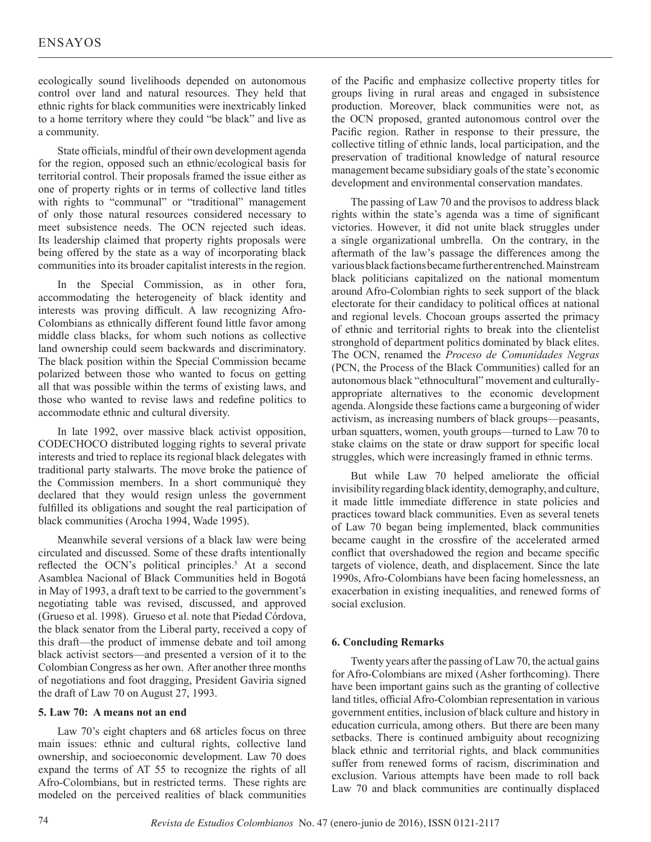ecologically sound livelihoods depended on autonomous control over land and natural resources. They held that ethnic rights for black communities were inextricably linked to a home territory where they could "be black" and live as a community.

State officials, mindful of their own development agenda for the region, opposed such an ethnic/ecological basis for territorial control. Their proposals framed the issue either as one of property rights or in terms of collective land titles with rights to "communal" or "traditional" management of only those natural resources considered necessary to meet subsistence needs. The OCN rejected such ideas. Its leadership claimed that property rights proposals were being offered by the state as a way of incorporating black communities into its broader capitalist interests in the region.

In the Special Commission, as in other fora, accommodating the heterogeneity of black identity and interests was proving difficult. A law recognizing Afro-Colombians as ethnically different found little favor among middle class blacks, for whom such notions as collective land ownership could seem backwards and discriminatory. The black position within the Special Commission became polarized between those who wanted to focus on getting all that was possible within the terms of existing laws, and those who wanted to revise laws and redefine politics to accommodate ethnic and cultural diversity.

In late 1992, over massive black activist opposition, CODECHOCO distributed logging rights to several private interests and tried to replace its regional black delegates with traditional party stalwarts. The move broke the patience of the Commission members. In a short communiqué they declared that they would resign unless the government fulfilled its obligations and sought the real participation of black communities (Arocha 1994, Wade 1995).

Meanwhile several versions of a black law were being circulated and discussed. Some of these drafts intentionally reflected the OCN's political principles.<sup>5</sup> At a second Asamblea Nacional of Black Communities held in Bogotá in May of 1993, a draft text to be carried to the government's negotiating table was revised, discussed, and approved (Grueso et al. 1998). Grueso et al. note that Piedad Córdova, the black senator from the Liberal party, received a copy of this draft—the product of immense debate and toil among black activist sectors—and presented a version of it to the Colombian Congress as her own. After another three months of negotiations and foot dragging, President Gaviria signed the draft of Law 70 on August 27, 1993.

## **5. Law 70: A means not an end**

Law 70's eight chapters and 68 articles focus on three main issues: ethnic and cultural rights, collective land ownership, and socioeconomic development. Law 70 does expand the terms of AT 55 to recognize the rights of all Afro-Colombians, but in restricted terms. These rights are modeled on the perceived realities of black communities

of the Pacific and emphasize collective property titles for groups living in rural areas and engaged in subsistence production. Moreover, black communities were not, as the OCN proposed, granted autonomous control over the Pacific region. Rather in response to their pressure, the collective titling of ethnic lands, local participation, and the preservation of traditional knowledge of natural resource management became subsidiary goals of the state's economic development and environmental conservation mandates.

The passing of Law 70 and the provisos to address black rights within the state's agenda was a time of significant victories. However, it did not unite black struggles under a single organizational umbrella. On the contrary, in the aftermath of the law's passage the differences among the various black factions became further entrenched. Mainstream black politicians capitalized on the national momentum around Afro-Colombian rights to seek support of the black electorate for their candidacy to political offices at national and regional levels. Chocoan groups asserted the primacy of ethnic and territorial rights to break into the clientelist stronghold of department politics dominated by black elites. The OCN, renamed the *Proceso de Comunidades Negras* (PCN, the Process of the Black Communities) called for an autonomous black "ethnocultural" movement and culturallyappropriate alternatives to the economic development agenda. Alongside these factions came a burgeoning of wider activism, as increasing numbers of black groups—peasants, urban squatters, women, youth groups—turned to Law 70 to stake claims on the state or draw support for specific local struggles, which were increasingly framed in ethnic terms.

But while Law 70 helped ameliorate the official invisibility regarding black identity, demography, and culture, it made little immediate difference in state policies and practices toward black communities. Even as several tenets of Law 70 began being implemented, black communities became caught in the crossfire of the accelerated armed conflict that overshadowed the region and became specific targets of violence, death, and displacement. Since the late 1990s, Afro-Colombians have been facing homelessness, an exacerbation in existing inequalities, and renewed forms of social exclusion.

## **6. Concluding Remarks**

Twenty years after the passing of Law 70, the actual gains for Afro-Colombians are mixed (Asher forthcoming). There have been important gains such as the granting of collective land titles, official Afro-Colombian representation in various government entities, inclusion of black culture and history in education curricula, among others. But there are been many setbacks. There is continued ambiguity about recognizing black ethnic and territorial rights, and black communities suffer from renewed forms of racism, discrimination and exclusion. Various attempts have been made to roll back Law 70 and black communities are continually displaced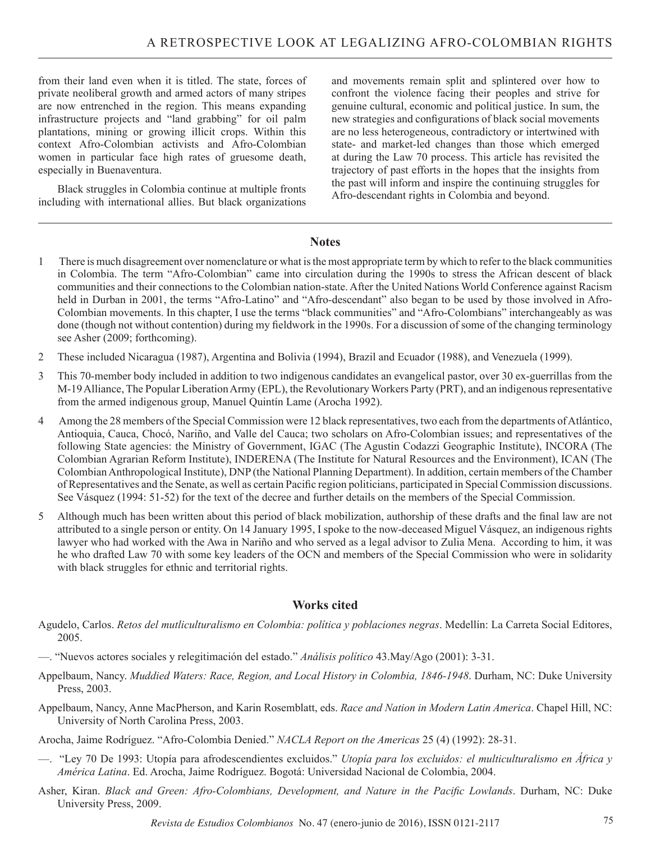from their land even when it is titled. The state, forces of private neoliberal growth and armed actors of many stripes are now entrenched in the region. This means expanding infrastructure projects and "land grabbing" for oil palm plantations, mining or growing illicit crops. Within this context Afro-Colombian activists and Afro-Colombian women in particular face high rates of gruesome death, especially in Buenaventura.

Black struggles in Colombia continue at multiple fronts including with international allies. But black organizations and movements remain split and splintered over how to confront the violence facing their peoples and strive for genuine cultural, economic and political justice. In sum, the new strategies and configurations of black social movements are no less heterogeneous, contradictory or intertwined with state- and market-led changes than those which emerged at during the Law 70 process. This article has revisited the trajectory of past efforts in the hopes that the insights from the past will inform and inspire the continuing struggles for Afro-descendant rights in Colombia and beyond.

## **Notes**

- 1 There is much disagreement over nomenclature or what is the most appropriate term by which to refer to the black communities in Colombia. The term "Afro-Colombian" came into circulation during the 1990s to stress the African descent of black communities and their connections to the Colombian nation-state. After the United Nations World Conference against Racism held in Durban in 2001, the terms "Afro-Latino" and "Afro-descendant" also began to be used by those involved in Afro-Colombian movements. In this chapter, I use the terms "black communities" and "Afro-Colombians" interchangeably as was done (though not without contention) during my fieldwork in the 1990s. For a discussion of some of the changing terminology see Asher (2009; forthcoming).
- 2 These included Nicaragua (1987), Argentina and Bolivia (1994), Brazil and Ecuador (1988), and Venezuela (1999).
- 3 This 70-member body included in addition to two indigenous candidates an evangelical pastor, over 30 ex-guerrillas from the M-19 Alliance, The Popular Liberation Army (EPL), the Revolutionary Workers Party (PRT), and an indigenous representative from the armed indigenous group, Manuel Quintín Lame (Arocha 1992).
- 4 Among the 28 members of the Special Commission were 12 black representatives, two each from the departments of Atlántico, Antioquia, Cauca, Chocó, Nariño, and Valle del Cauca; two scholars on Afro-Colombian issues; and representatives of the following State agencies: the Ministry of Government, IGAC (The Agustin Codazzi Geographic Institute), INCORA (The Colombian Agrarian Reform Institute), INDERENA (The Institute for Natural Resources and the Environment), ICAN (The Colombian Anthropological Institute), DNP (the National Planning Department). In addition, certain members of the Chamber of Representatives and the Senate, as well as certain Pacific region politicians, participated in Special Commission discussions. See Vásquez (1994: 51-52) for the text of the decree and further details on the members of the Special Commission.
- 5 Although much has been written about this period of black mobilization, authorship of these drafts and the final law are not attributed to a single person or entity. On 14 January 1995, I spoke to the now-deceased Miguel Vásquez, an indigenous rights lawyer who had worked with the Awa in Nariño and who served as a legal advisor to Zulia Mena. According to him, it was he who drafted Law 70 with some key leaders of the OCN and members of the Special Commission who were in solidarity with black struggles for ethnic and territorial rights.

## **Works cited**

- Agudelo, Carlos. *Retos del mutliculturalismo en Colombia: política y poblaciones negras*. Medellín: La Carreta Social Editores, 2005.
- —. "Nuevos actores sociales y relegitimación del estado." *Análisis político* 43.May/Ago (2001): 3-31.
- Appelbaum, Nancy. *Muddied Waters: Race, Region, and Local History in Colombia, 1846-1948*. Durham, NC: Duke University Press, 2003.
- Appelbaum, Nancy, Anne MacPherson, and Karin Rosemblatt, eds. *Race and Nation in Modern Latin America*. Chapel Hill, NC: University of North Carolina Press, 2003.
- Arocha, Jaime Rodríguez. "Afro-Colombia Denied." *NACLA Report on the Americas* 25 (4) (1992): 28-31.
- —. "Ley 70 De 1993: Utopía para afrodescendientes excluidos." *Utopía para los excluidos: el multiculturalismo en África y América Latina*. Ed. Arocha, Jaime Rodríguez. Bogotá: Universidad Nacional de Colombia, 2004.
- Asher, Kiran. *Black and Green: Afro-Colombians, Development, and Nature in the Pacific Lowlands*. Durham, NC: Duke University Press, 2009.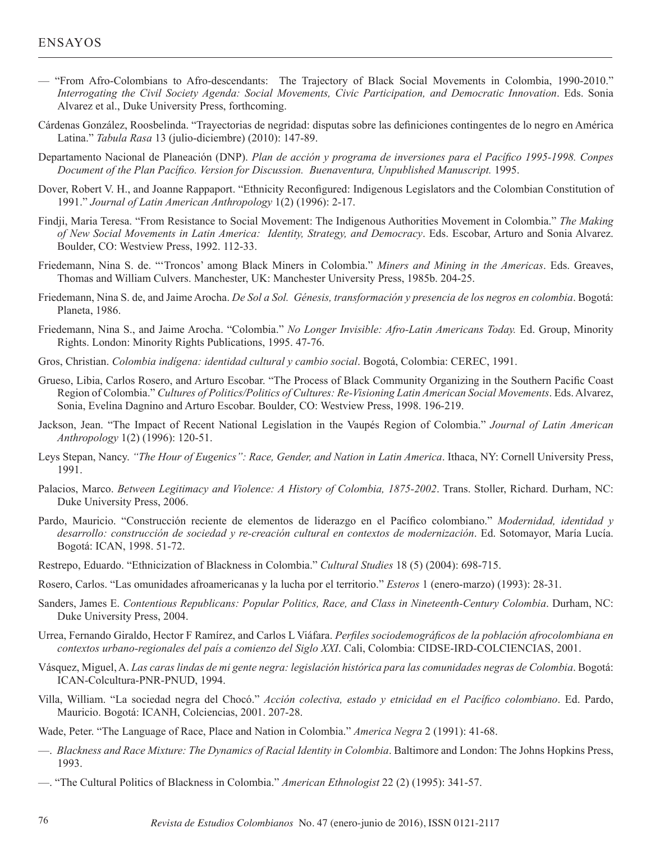- "From Afro-Colombians to Afro-descendants: The Trajectory of Black Social Movements in Colombia, 1990-2010." *Interrogating the Civil Society Agenda: Social Movements, Civic Participation, and Democratic Innovation*. Eds. Sonia Alvarez et al., Duke University Press, forthcoming.
- Cárdenas González, Roosbelinda. "Trayectorias de negridad: disputas sobre las definiciones contingentes de lo negro en América Latina." *Tabula Rasa* 13 (julio-diciembre) (2010): 147-89.
- Departamento Nacional de Planeación (DNP). *Plan de acción y programa de inversiones para el Pacífico 1995-1998. Conpes Document of the Plan Pacífico. Version for Discussion. Buenaventura, Unpublished Manuscript.* 1995.
- Dover, Robert V. H., and Joanne Rappaport. "Ethnicity Reconfigured: Indigenous Legislators and the Colombian Constitution of 1991." *Journal of Latin American Anthropology* 1(2) (1996): 2-17.
- Findji, Maria Teresa. "From Resistance to Social Movement: The Indigenous Authorities Movement in Colombia." *The Making of New Social Movements in Latin America: Identity, Strategy, and Democracy*. Eds. Escobar, Arturo and Sonia Alvarez. Boulder, CO: Westview Press, 1992. 112-33.
- Friedemann, Nina S. de. "'Troncos' among Black Miners in Colombia." *Miners and Mining in the Americas*. Eds. Greaves, Thomas and William Culvers. Manchester, UK: Manchester University Press, 1985b. 204-25.
- Friedemann, Nina S. de, and Jaime Arocha. *De Sol a Sol. Génesis, transformación y presencia de los negros en colombia*. Bogotá: Planeta, 1986.
- Friedemann, Nina S., and Jaime Arocha. "Colombia." *No Longer Invisible: Afro-Latin Americans Today.* Ed. Group, Minority Rights. London: Minority Rights Publications, 1995. 47-76.
- Gros, Christian. *Colombia indígena: identidad cultural y cambio social*. Bogotá, Colombia: CEREC, 1991.
- Grueso, Libia, Carlos Rosero, and Arturo Escobar. "The Process of Black Community Organizing in the Southern Pacific Coast Region of Colombia." *Cultures of Politics/Politics of Cultures: Re-Visioning Latin American Social Movements*. Eds. Alvarez, Sonia, Evelina Dagnino and Arturo Escobar. Boulder, CO: Westview Press, 1998. 196-219.
- Jackson, Jean. "The Impact of Recent National Legislation in the Vaupés Region of Colombia." *Journal of Latin American Anthropology* 1(2) (1996): 120-51.
- Leys Stepan, Nancy. *"The Hour of Eugenics": Race, Gender, and Nation in Latin America*. Ithaca, NY: Cornell University Press, 1991.
- Palacios, Marco. *Between Legitimacy and Violence: A History of Colombia, 1875-2002*. Trans. Stoller, Richard. Durham, NC: Duke University Press, 2006.
- Pardo, Mauricio. "Construcción reciente de elementos de liderazgo en el Pacífico colombiano." *Modernidad, identidad y desarrollo: construcción de sociedad y re-creación cultural en contextos de modernización*. Ed. Sotomayor, María Lucía. Bogotá: ICAN, 1998. 51-72.
- Restrepo, Eduardo. "Ethnicization of Blackness in Colombia." *Cultural Studies* 18 (5) (2004): 698-715.
- Rosero, Carlos. "Las omunidades afroamericanas y la lucha por el territorio." *Esteros* 1 (enero-marzo) (1993): 28-31.
- Sanders, James E. *Contentious Republicans: Popular Politics, Race, and Class in Nineteenth-Century Colombia*. Durham, NC: Duke University Press, 2004.
- Urrea, Fernando Giraldo, Hector F Ramírez, and Carlos L Viáfara. *Perfiles sociodemográficos de la población afrocolombiana en contextos urbano-regionales del país a comienzo del Siglo XXI*. Cali, Colombia: CIDSE-IRD-COLCIENCIAS, 2001.
- Vásquez, Miguel, A. *Las caras lindas de mi gente negra: legislación histórica para las comunidades negras de Colombia*. Bogotá: ICAN-Colcultura-PNR-PNUD, 1994.
- Villa, William. "La sociedad negra del Chocó." *Acción colectiva, estado y etnicidad en el Pacífico colombiano*. Ed. Pardo, Mauricio. Bogotá: ICANH, Colciencias, 2001. 207-28.
- Wade, Peter. "The Language of Race, Place and Nation in Colombia." *America Negra* 2 (1991): 41-68.
- —. *Blackness and Race Mixture: The Dynamics of Racial Identity in Colombia*. Baltimore and London: The Johns Hopkins Press, 1993.
- —. "The Cultural Politics of Blackness in Colombia." *American Ethnologist* 22 (2) (1995): 341-57.